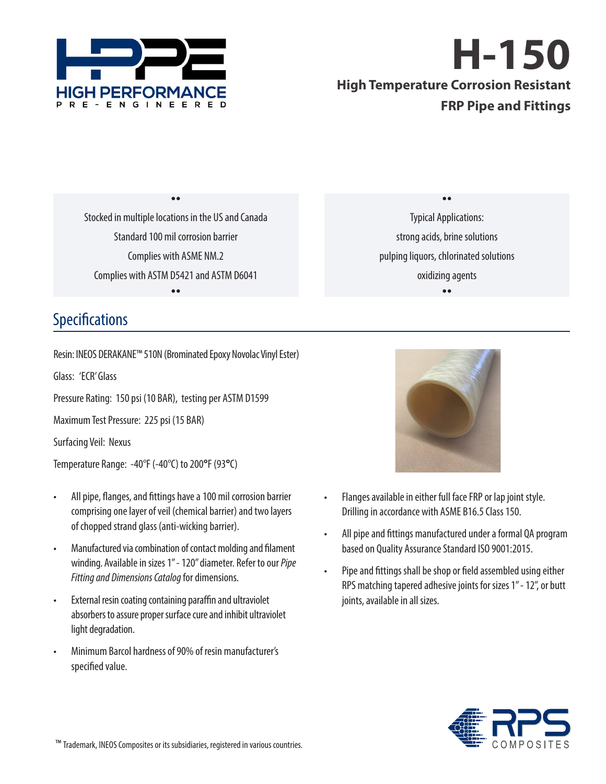

# **H-150**

## **High Temperature Corrosion Resistant FRP Pipe and Fittings**

Stocked in multiple locations in the US and Canada Standard 100 mil corrosion barrier Complies with ASME NM.2 Complies with ASTM D5421 and ASTM D6041  $\bullet$ 

 $\bullet \bullet$ 

 $\bullet \bullet$ Typical Applications: strong acids, brine solutions pulping liquors, chlorinated solutions oxidizing agents  $\bullet \bullet$ 

## Specifications

Resin: INEOS DERAKANE™ 510N (Brominated Epoxy Novolac Vinyl Ester)

Glass: 'ECR' Glass

Pressure Rating: 150 psi (10 BAR), testing per ASTM D1599

Maximum Test Pressure: 225 psi (15 BAR)

Surfacing Veil: Nexus

Temperature Range: -40°F (-40°C) to 200**°**F (93**°**C)

- All pipe, flanges, and fittings have a 100 mil corrosion barrier comprising one layer of veil (chemical barrier) and two layers of chopped strand glass (anti-wicking barrier).
- Manufactured via combination of contact molding and filament winding. Available in sizes 1" - 120" diameter. Refer to our *Pipe Fitting and Dimensions Catalog* for dimensions.
- External resin coating containing paraffin and ultraviolet absorbers to assure proper surface cure and inhibit ultraviolet light degradation.
- Minimum Barcol hardness of 90% of resin manufacturer's specified value.



- Flanges available in either full face FRP or lap joint style. Drilling in accordance with ASME B16.5 Class 150.
- All pipe and fittings manufactured under a formal QA program based on Quality Assurance Standard ISO 9001:2015.
- Pipe and fittings shall be shop or field assembled using either RPS matching tapered adhesive joints for sizes 1" - 12", or butt joints, available in all sizes.

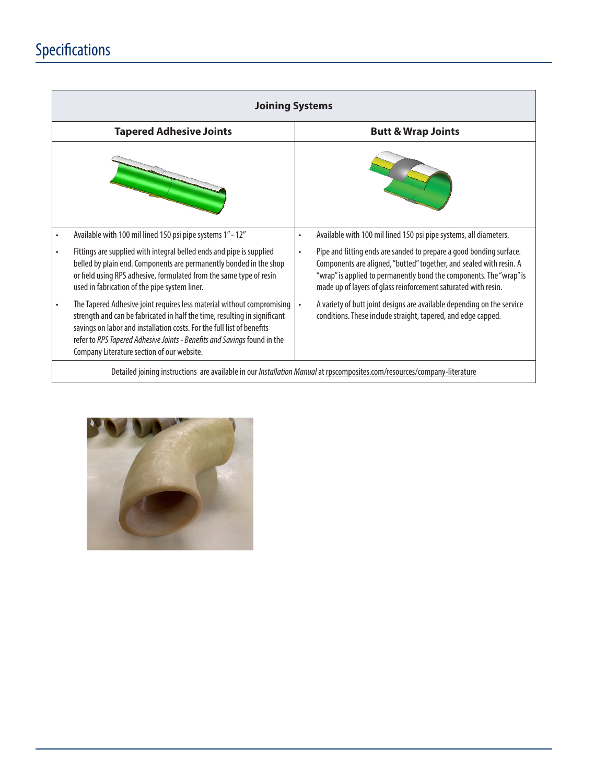# Specifications

| <b>Joining Systems</b>                                                                                                   |                                                                                                                                                                                                                                                                                                                                                         |           |                                                                                                                                                                                                                                                                                     |  |  |  |
|--------------------------------------------------------------------------------------------------------------------------|---------------------------------------------------------------------------------------------------------------------------------------------------------------------------------------------------------------------------------------------------------------------------------------------------------------------------------------------------------|-----------|-------------------------------------------------------------------------------------------------------------------------------------------------------------------------------------------------------------------------------------------------------------------------------------|--|--|--|
|                                                                                                                          | <b>Tapered Adhesive Joints</b>                                                                                                                                                                                                                                                                                                                          |           | <b>Butt &amp; Wrap Joints</b>                                                                                                                                                                                                                                                       |  |  |  |
|                                                                                                                          |                                                                                                                                                                                                                                                                                                                                                         |           |                                                                                                                                                                                                                                                                                     |  |  |  |
| $\bullet$                                                                                                                | Available with 100 mil lined 150 psi pipe systems 1" - 12"                                                                                                                                                                                                                                                                                              | $\bullet$ | Available with 100 mil lined 150 psi pipe systems, all diameters.                                                                                                                                                                                                                   |  |  |  |
| ٠                                                                                                                        | Fittings are supplied with integral belled ends and pipe is supplied<br>belled by plain end. Components are permanently bonded in the shop<br>or field using RPS adhesive, formulated from the same type of resin<br>used in fabrication of the pipe system liner.                                                                                      | $\bullet$ | Pipe and fitting ends are sanded to prepare a good bonding surface.<br>Components are aligned, "butted" together, and sealed with resin. A<br>"wrap" is applied to permanently bond the components. The "wrap" is<br>made up of layers of glass reinforcement saturated with resin. |  |  |  |
|                                                                                                                          | The Tapered Adhesive joint requires less material without compromising<br>strength and can be fabricated in half the time, resulting in significant<br>savings on labor and installation costs. For the full list of benefits<br>refer to RPS Tapered Adhesive Joints - Benefits and Savings found in the<br>Company Literature section of our website. | $\bullet$ | A variety of butt joint designs are available depending on the service<br>conditions. These include straight, tapered, and edge capped.                                                                                                                                             |  |  |  |
| Detailed joining instructions are available in our Installation Manual at rpscomposites.com/resources/company-literature |                                                                                                                                                                                                                                                                                                                                                         |           |                                                                                                                                                                                                                                                                                     |  |  |  |

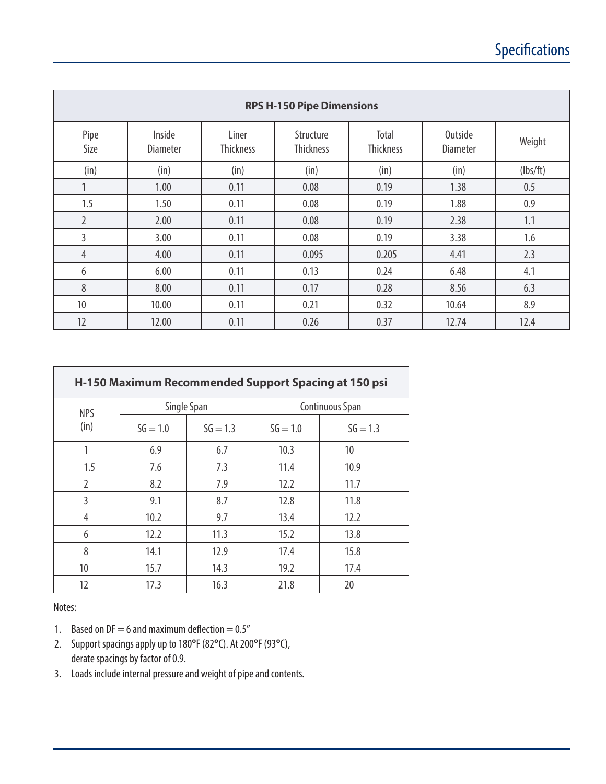| <b>RPS H-150 Pipe Dimensions</b> |                           |                           |                        |                           |                            |          |  |  |
|----------------------------------|---------------------------|---------------------------|------------------------|---------------------------|----------------------------|----------|--|--|
| Pipe<br>Size                     | Inside<br><b>Diameter</b> | Liner<br><b>Thickness</b> | Structure<br>Thickness | Total<br><b>Thickness</b> | Outside<br><b>Diameter</b> | Weight   |  |  |
| (in)                             | (in)                      | (in)                      | (in)                   | (in)                      | (in)                       | (lbs/ft) |  |  |
| 1                                | 1.00                      | 0.11                      | 0.08                   | 0.19                      | 1.38                       | 0.5      |  |  |
| 1.5                              | 1.50                      | 0.11                      | 0.08                   | 0.19                      | 1.88                       | 0.9      |  |  |
| $\overline{2}$                   | 2.00                      | 0.11                      | 0.08                   | 0.19                      | 2.38                       | 1.1      |  |  |
| 3                                | 3.00                      | 0.11                      | 0.08                   | 0.19                      | 3.38                       | 1.6      |  |  |
| $\overline{4}$                   | 4.00                      | 0.11                      | 0.095                  | 0.205                     | 4.41                       | 2.3      |  |  |
| 6                                | 6.00                      | 0.11                      | 0.13                   | 0.24                      | 6.48                       | 4.1      |  |  |
| 8                                | 8.00                      | 0.11                      | 0.17                   | 0.28                      | 8.56                       | 6.3      |  |  |
| 10                               | 10.00                     | 0.11                      | 0.21                   | 0.32                      | 10.64                      | 8.9      |  |  |
| 12                               | 12.00                     | 0.11                      | 0.26                   | 0.37                      | 12.74                      | 12.4     |  |  |

| H-150 Maximum Recommended Support Spacing at 150 psi |            |             |                        |            |  |
|------------------------------------------------------|------------|-------------|------------------------|------------|--|
| <b>NPS</b>                                           |            | Single Span | <b>Continuous Span</b> |            |  |
| (in)                                                 | $SG = 1.0$ | $SG = 1.3$  | $SG = 1.0$             | $SG = 1.3$ |  |
| 1                                                    | 6.9        | 6.7         | 10.3                   | 10         |  |
| 1.5                                                  | 7.6        | 7.3         | 11.4                   | 10.9       |  |
| $\overline{2}$                                       | 8.2        | 7.9         | 12.2                   | 11.7       |  |
| 3                                                    | 9.1        | 8.7         | 12.8                   | 11.8       |  |
| 4                                                    | 10.2       | 9.7         | 13.4                   | 12.2       |  |
| 6                                                    | 12.2       | 11.3        | 15.2                   | 13.8       |  |
| 8                                                    | 14.1       | 12.9        | 17.4                   | 15.8       |  |
| 10                                                   | 15.7       | 14.3        | 19.2                   | 17.4       |  |
| 12                                                   | 17.3       | 16.3        | 21.8                   | 20         |  |

Notes:

- 1. Based on  $DF = 6$  and maximum deflection  $= 0.5$ "
- 2. Support spacings apply up to 180**°**F (82**°**C). At 200**°**F (93**°**C), derate spacings by factor of 0.9.
- 3. Loads include internal pressure and weight of pipe and contents.